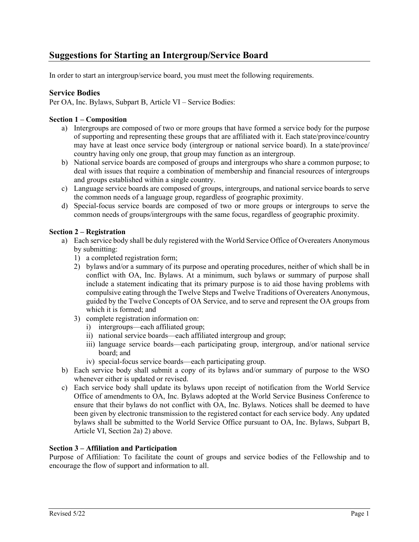In order to start an intergroup/service board, you must meet the following requirements.

# **Service Bodies**

Per OA, Inc. Bylaws, Subpart B, Article VI – Service Bodies:

## **Section 1 – Composition**

- a) Intergroups are composed of two or more groups that have formed a service body for the purpose of supporting and representing these groups that are affiliated with it. Each state/province/country may have at least once service body (intergroup or national service board). In a state/province/ country having only one group, that group may function as an intergroup.
- b) National service boards are composed of groups and intergroups who share a common purpose; to deal with issues that require a combination of membership and financial resources of intergroups and groups established within a single country.
- c) Language service boards are composed of groups, intergroups, and national service boards to serve the common needs of a language group, regardless of geographic proximity.
- d) Special-focus service boards are composed of two or more groups or intergroups to serve the common needs of groups/intergroups with the same focus, regardless of geographic proximity.

### **Section 2 – Registration**

- a) Each service body shall be duly registered with the World Service Office of Overeaters Anonymous by submitting:
	- 1) a completed registration form;
	- 2) bylaws and/or a summary of its purpose and operating procedures, neither of which shall be in conflict with OA, Inc. Bylaws. At a minimum, such bylaws or summary of purpose shall include a statement indicating that its primary purpose is to aid those having problems with compulsive eating through the Twelve Steps and Twelve Traditions of Overeaters Anonymous, guided by the Twelve Concepts of OA Service, and to serve and represent the OA groups from which it is formed; and
	- 3) complete registration information on:
		- i) intergroups—each affiliated group;
		- ii) national service boards—each affiliated intergroup and group;
		- iii) language service boards—each participating group, intergroup, and/or national service board; and
		- iv) special-focus service boards—each participating group.
- b) Each service body shall submit a copy of its bylaws and/or summary of purpose to the WSO whenever either is updated or revised.
- c) Each service body shall update its bylaws upon receipt of notification from the World Service Office of amendments to OA, Inc. Bylaws adopted at the World Service Business Conference to ensure that their bylaws do not conflict with OA, Inc. Bylaws. Notices shall be deemed to have been given by electronic transmission to the registered contact for each service body. Any updated bylaws shall be submitted to the World Service Office pursuant to OA, Inc. Bylaws, Subpart B, Article VI, Section 2a) 2) above.

#### **Section 3 – Affiliation and Participation**

Purpose of Affiliation: To facilitate the count of groups and service bodies of the Fellowship and to encourage the flow of support and information to all.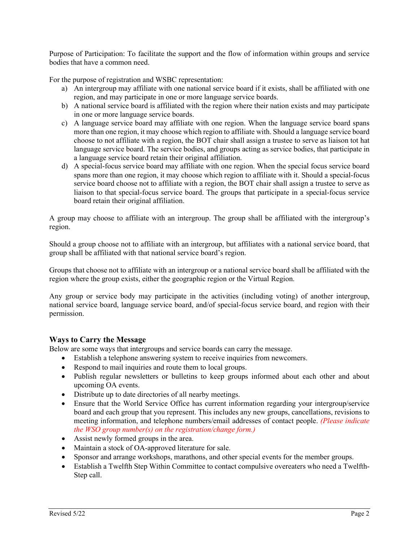Purpose of Participation: To facilitate the support and the flow of information within groups and service bodies that have a common need.

For the purpose of registration and WSBC representation:

- a) An intergroup may affiliate with one national service board if it exists, shall be affiliated with one region, and may participate in one or more language service boards.
- b) A national service board is affiliated with the region where their nation exists and may participate in one or more language service boards.
- c) A language service board may affiliate with one region. When the language service board spans more than one region, it may choose which region to affiliate with. Should a language service board choose to not affiliate with a region, the BOT chair shall assign a trustee to serve as liaison tot hat language service board. The service bodies, and groups acting as service bodies, that participate in a language service board retain their original affiliation.
- d) A special-focus service board may affiliate with one region. When the special focus service board spans more than one region, it may choose which region to affiliate with it. Should a special-focus service board choose not to affiliate with a region, the BOT chair shall assign a trustee to serve as liaison to that special-focus service board. The groups that participate in a special-focus service board retain their original affiliation.

A group may choose to affiliate with an intergroup. The group shall be affiliated with the intergroup's region.

Should a group choose not to affiliate with an intergroup, but affiliates with a national service board, that group shall be affiliated with that national service board's region.

Groups that choose not to affiliate with an intergroup or a national service board shall be affiliated with the region where the group exists, either the geographic region or the Virtual Region.

Any group or service body may participate in the activities (including voting) of another intergroup, national service board, language service board, and/of special-focus service board, and region with their permission.

## **Ways to Carry the Message**

Below are some ways that intergroups and service boards can carry the message.

- Establish a telephone answering system to receive inquiries from newcomers.
- Respond to mail inquiries and route them to local groups.
- Publish regular newsletters or bulletins to keep groups informed about each other and about upcoming OA events.
- Distribute up to date directories of all nearby meetings.
- Ensure that the World Service Office has current information regarding your intergroup/service board and each group that you represent. This includes any new groups, cancellations, revisions to meeting information, and telephone numbers/email addresses of contact people. *(Please indicate the WSO group number(s) on the registration/change form.)*
- Assist newly formed groups in the area.
- Maintain a stock of OA-approved literature for sale.
- Sponsor and arrange workshops, marathons, and other special events for the member groups.
- Establish a Twelfth Step Within Committee to contact compulsive overeaters who need a Twelfth-Step call.